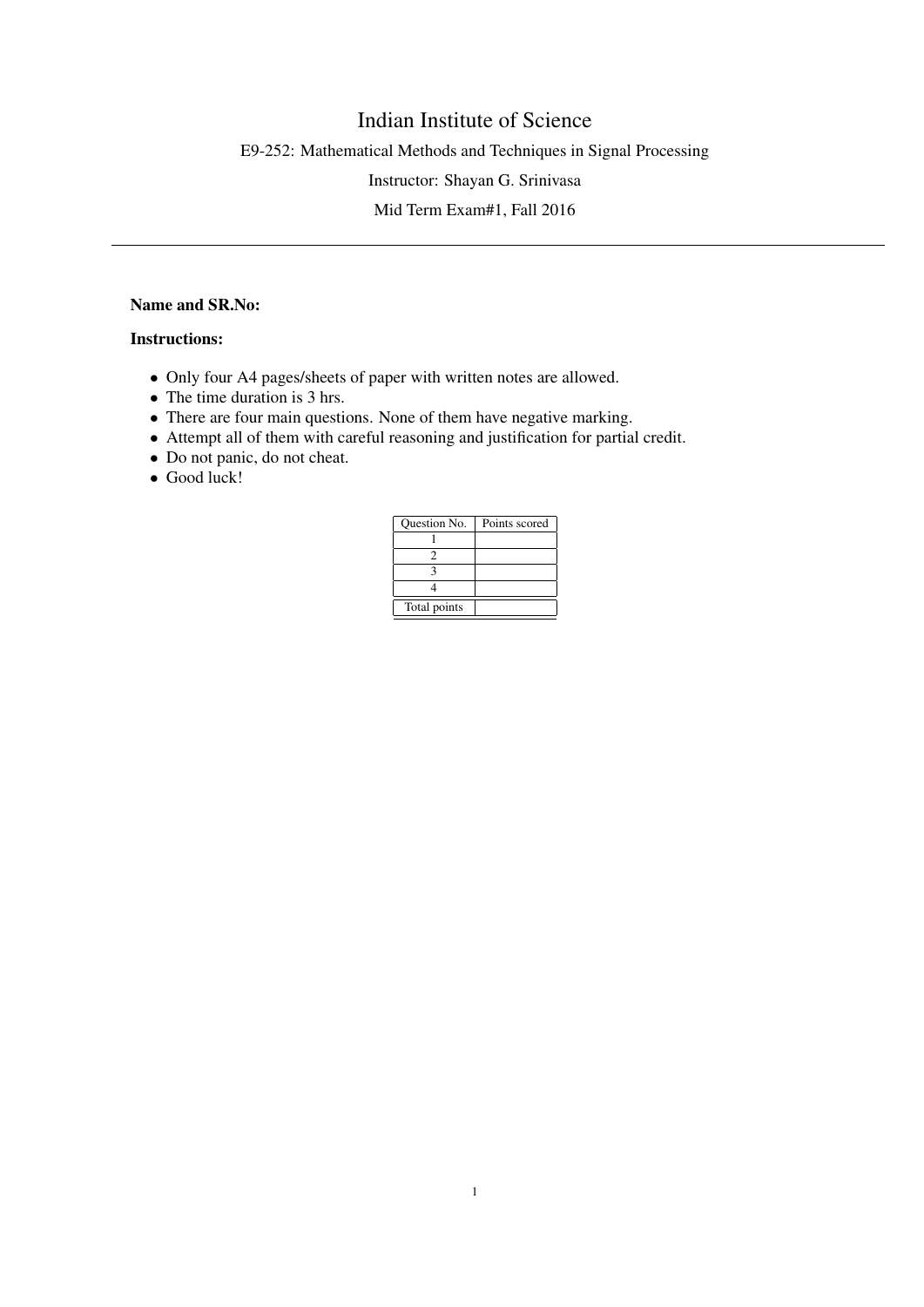## Indian Institute of Science

E9-252: Mathematical Methods and Techniques in Signal Processing

Instructor: Shayan G. Srinivasa

Mid Term Exam#1, Fall 2016

## Name and SR.No:

## Instructions:

- Only four A4 pages/sheets of paper with written notes are allowed.
- The time duration is 3 hrs.
- There are four main questions. None of them have negative marking.
- Attempt all of them with careful reasoning and justification for partial credit.
- Do not panic, do not cheat.
- Good luck!

| <b>Ouestion No.</b> | Points scored |
|---------------------|---------------|
|                     |               |
|                     |               |
|                     |               |
|                     |               |
| Total points        |               |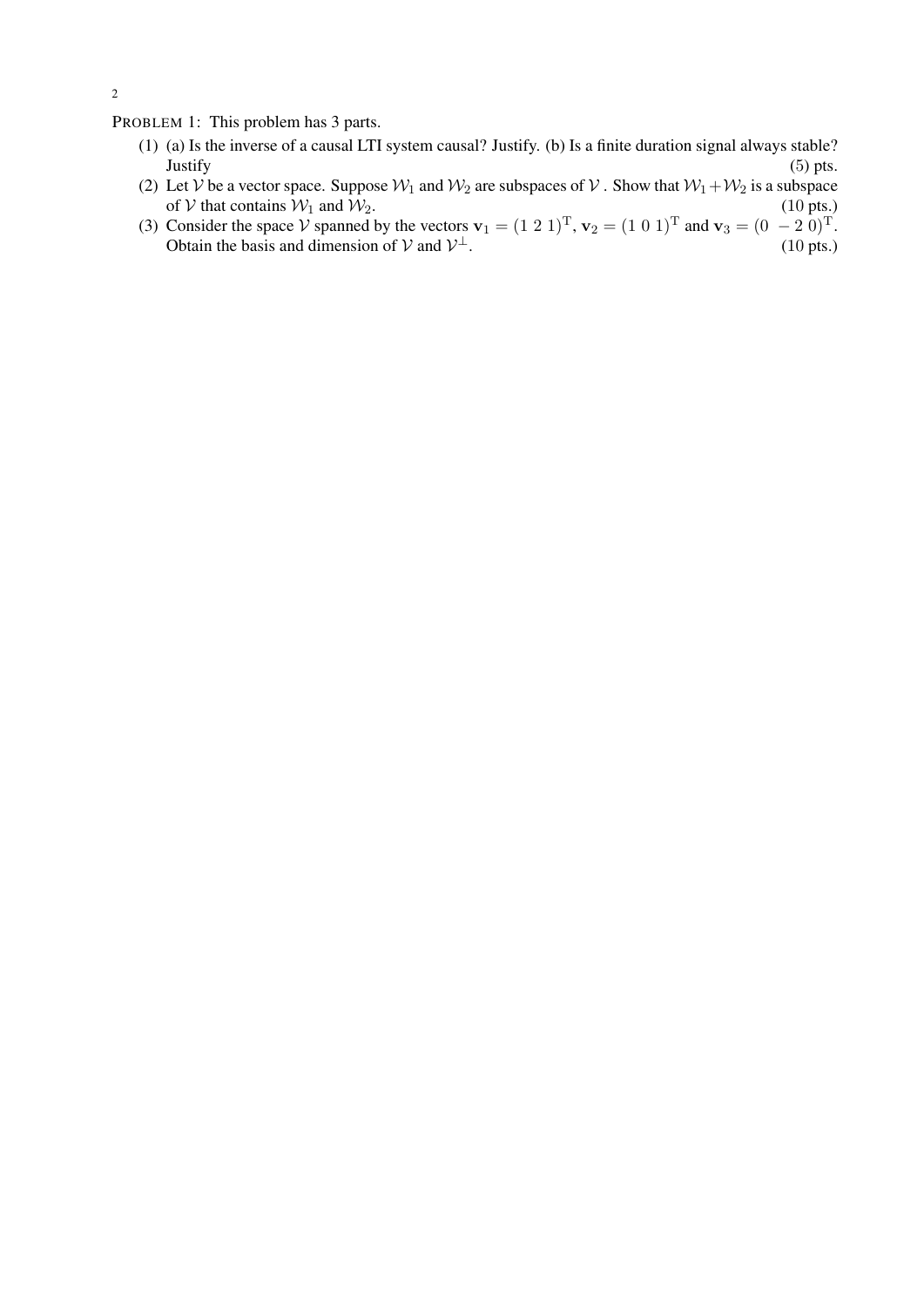PROBLEM 1: This problem has 3 parts.

- (1) (a) Is the inverse of a causal LTI system causal? Justify. (b) Is a finite duration signal always stable? Justify (5) pts.
- (2) Let V be a vector space. Suppose  $W_1$  and  $W_2$  are subspaces of V. Show that  $W_1+W_2$  is a subspace of V that contains  $W_1$  and  $W_2$ . (10 pts.)
- (3) Consider the space V spanned by the vectors  $\mathbf{v}_1 = (1\ 2\ 1)^T$ ,  $\mathbf{v}_2 = (1\ 0\ 1)^T$  and  $\mathbf{v}_3 = (0\ -2\ 0)^T$ . Obtain the basis and dimension of  $V$  and  $V^{\perp}$ . (10 pts.)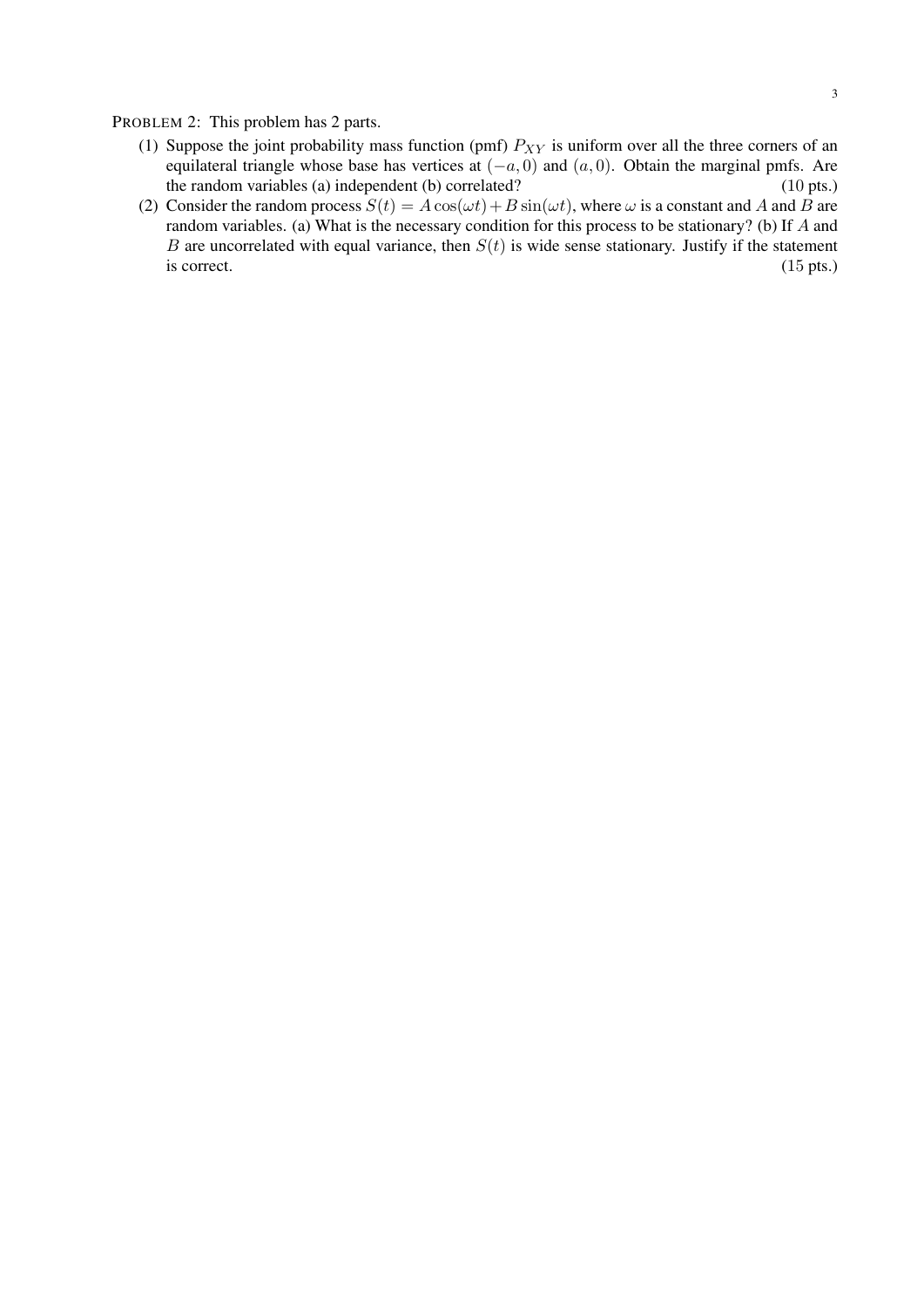PROBLEM 2: This problem has 2 parts.

- (1) Suppose the joint probability mass function (pmf)  $P_{XY}$  is uniform over all the three corners of an equilateral triangle whose base has vertices at  $(-a, 0)$  and  $(a, 0)$ . Obtain the marginal pmfs. Are the random variables (a) independent (b) correlated? (10 pts.)
- (2) Consider the random process  $S(t) = A \cos(\omega t) + B \sin(\omega t)$ , where  $\omega$  is a constant and A and B are random variables. (a) What is the necessary condition for this process to be stationary? (b) If A and B are uncorrelated with equal variance, then  $S(t)$  is wide sense stationary. Justify if the statement is correct.  $(15 \text{ pts.})$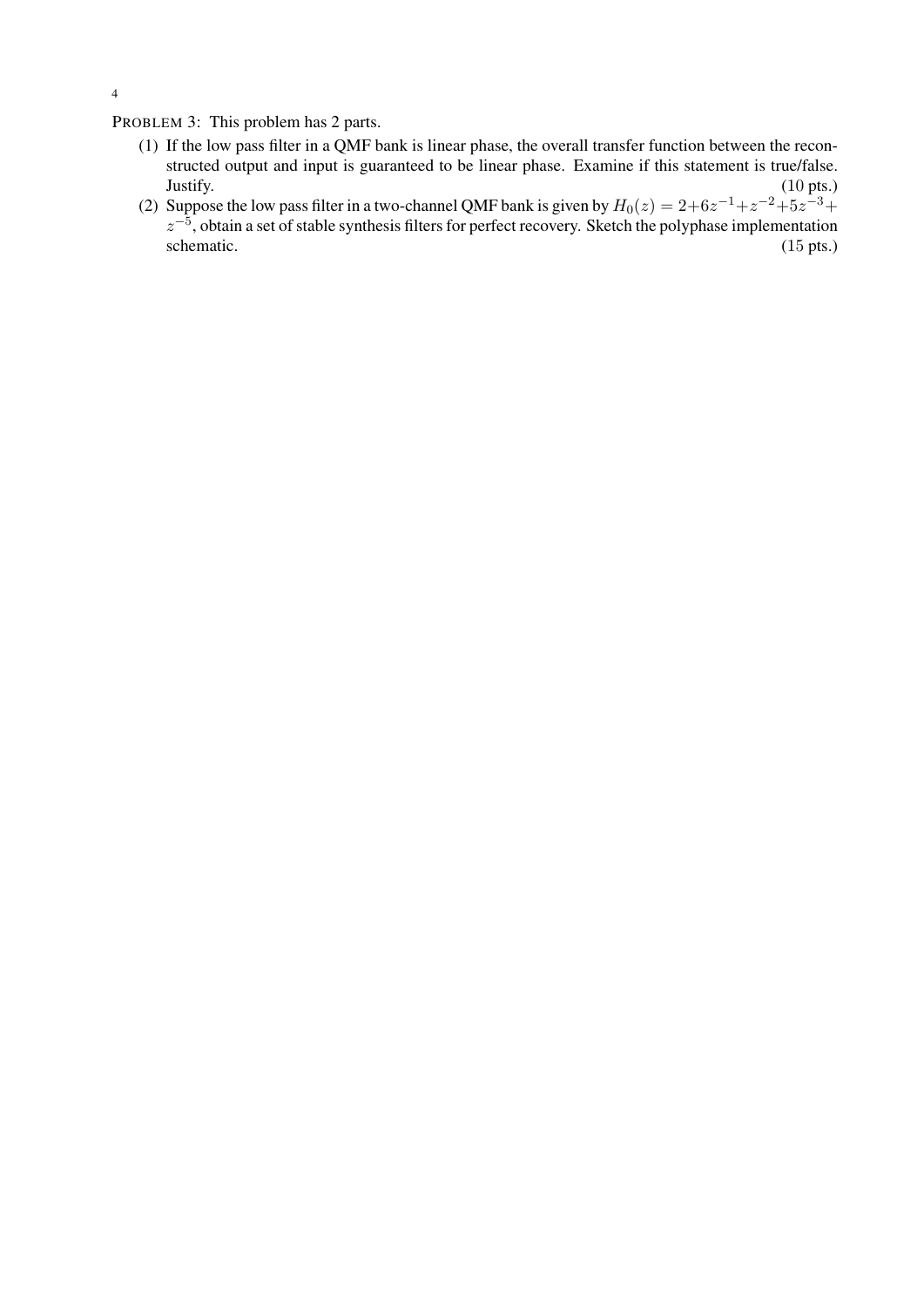PROBLEM 3: This problem has 2 parts.

- (1) If the low pass filter in a QMF bank is linear phase, the overall transfer function between the reconstructed output and input is guaranteed to be linear phase. Examine if this statement is true/false. Justify. (10 pts.)
- (2) Suppose the low pass filter in a two-channel QMF bank is given by  $H_0(z) = 2+6z^{-1}+z^{-2}+5z^{-3}+$  $z^{-5}$ , obtain a set of stable synthesis filters for perfect recovery. Sketch the polyphase implementation schematic. (15 pts.)